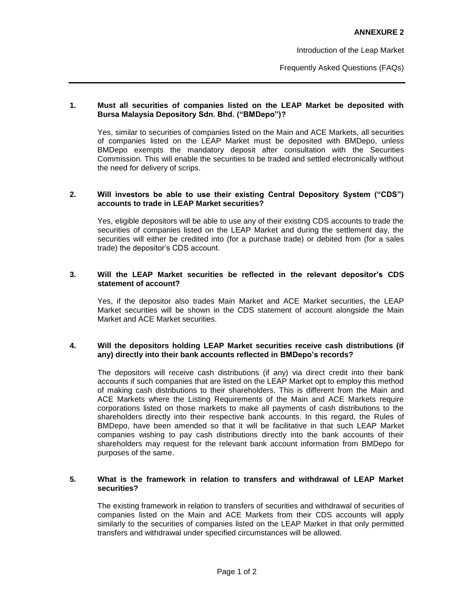Introduction of the Leap Market

Frequently Asked Questions (FAQs)

### **1. Must all securities of companies listed on the LEAP Market be deposited with Bursa Malaysia Depository Sdn. Bhd. ("BMDepo")?**

Yes, similar to securities of companies listed on the Main and ACE Markets, all securities of companies listed on the LEAP Market must be deposited with BMDepo, unless BMDepo exempts the mandatory deposit after consultation with the Securities Commission. This will enable the securities to be traded and settled electronically without the need for delivery of scrips.

## **2. Will investors be able to use their existing Central Depository System ("CDS") accounts to trade in LEAP Market securities?**

Yes, eligible depositors will be able to use any of their existing CDS accounts to trade the securities of companies listed on the LEAP Market and during the settlement day, the securities will either be credited into (for a purchase trade) or debited from (for a sales trade) the depositor's CDS account.

## **3. Will the LEAP Market securities be reflected in the relevant depositor's CDS statement of account?**

Yes, if the depositor also trades Main Market and ACE Market securities, the LEAP Market securities will be shown in the CDS statement of account alongside the Main Market and ACE Market securities.

## **4. Will the depositors holding LEAP Market securities receive cash distributions (if any) directly into their bank accounts reflected in BMDepo's records?**

The depositors will receive cash distributions (if any) via direct credit into their bank accounts if such companies that are listed on the LEAP Market opt to employ this method of making cash distributions to their shareholders. This is different from the Main and ACE Markets where the Listing Requirements of the Main and ACE Markets require corporations listed on those markets to make all payments of cash distributions to the shareholders directly into their respective bank accounts. In this regard, the Rules of BMDepo, have been amended so that it will be facilitative in that such LEAP Market companies wishing to pay cash distributions directly into the bank accounts of their shareholders may request for the relevant bank account information from BMDepo for purposes of the same.

## **5. What is the framework in relation to transfers and withdrawal of LEAP Market securities?**

The existing framework in relation to transfers of securities and withdrawal of securities of companies listed on the Main and ACE Markets from their CDS accounts will apply similarly to the securities of companies listed on the LEAP Market in that only permitted transfers and withdrawal under specified circumstances will be allowed.